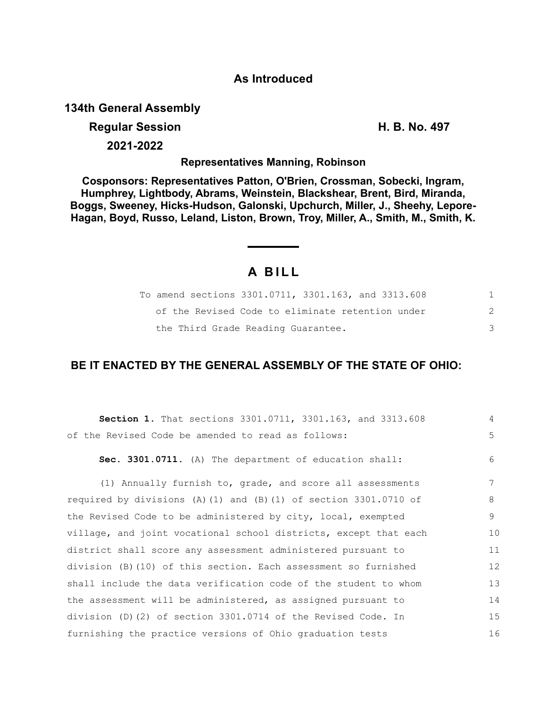### **As Introduced**

### **134th General Assembly**

## **Regular Session H. B. No. 497**

**2021-2022**

**Representatives Manning, Robinson**

**Cosponsors: Representatives Patton, O'Brien, Crossman, Sobecki, Ingram, Humphrey, Lightbody, Abrams, Weinstein, Blackshear, Brent, Bird, Miranda, Boggs, Sweeney, Hicks-Hudson, Galonski, Upchurch, Miller, J., Sheehy, Lepore-Hagan, Boyd, Russo, Leland, Liston, Brown, Troy, Miller, A., Smith, M., Smith, K.**

# **A B I L L**

| To amend sections 3301.0711, 3301.163, and 3313.608 |  |
|-----------------------------------------------------|--|
| of the Revised Code to eliminate retention under    |  |
| the Third Grade Reading Guarantee.                  |  |

# **BE IT ENACTED BY THE GENERAL ASSEMBLY OF THE STATE OF OHIO:**

| Section 1. That sections 3301.0711, 3301.163, and 3313.608          | $\overline{4}$ |
|---------------------------------------------------------------------|----------------|
| of the Revised Code be amended to read as follows:                  | 5              |
| Sec. 3301.0711. (A) The department of education shall:              | $6^{\circ}$    |
| (1) Annually furnish to, grade, and score all assessments           | 7              |
| required by divisions (A) (1) and (B) (1) of section $3301.0710$ of | 8              |
| the Revised Code to be administered by city, local, exempted        | $\circ$        |
| village, and joint vocational school districts, except that each    | 10             |
| district shall score any assessment administered pursuant to        | 11             |
| division (B) (10) of this section. Each assessment so furnished     | 12             |
| shall include the data verification code of the student to whom     | 13             |
| the assessment will be administered, as assigned pursuant to        | 14             |
| division (D)(2) of section 3301.0714 of the Revised Code. In        | 15             |
| furnishing the practice versions of Ohio graduation tests           | 16             |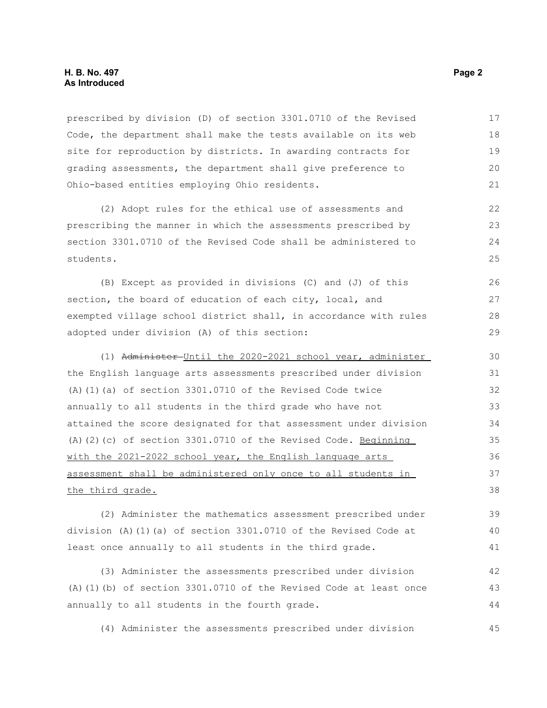prescribed by division (D) of section 3301.0710 of the Revised Code, the department shall make the tests available on its web site for reproduction by districts. In awarding contracts for grading assessments, the department shall give preference to Ohio-based entities employing Ohio residents. 17 18 19 20 21

(2) Adopt rules for the ethical use of assessments and prescribing the manner in which the assessments prescribed by section 3301.0710 of the Revised Code shall be administered to students.

(B) Except as provided in divisions (C) and (J) of this section, the board of education of each city, local, and exempted village school district shall, in accordance with rules adopted under division (A) of this section: 26 27 28 29

(1) Administer Until the 2020-2021 school year, administer the English language arts assessments prescribed under division (A)(1)(a) of section 3301.0710 of the Revised Code twice annually to all students in the third grade who have not attained the score designated for that assessment under division (A)(2)(c) of section 3301.0710 of the Revised Code. Beginning with the 2021-2022 school year, the English language arts assessment shall be administered only once to all students in the third grade. 30 31 32 33 34 35 36 37 38

(2) Administer the mathematics assessment prescribed under division (A)(1)(a) of section 3301.0710 of the Revised Code at least once annually to all students in the third grade.

(3) Administer the assessments prescribed under division (A)(1)(b) of section 3301.0710 of the Revised Code at least once annually to all students in the fourth grade. 42 43 44

(4) Administer the assessments prescribed under division 45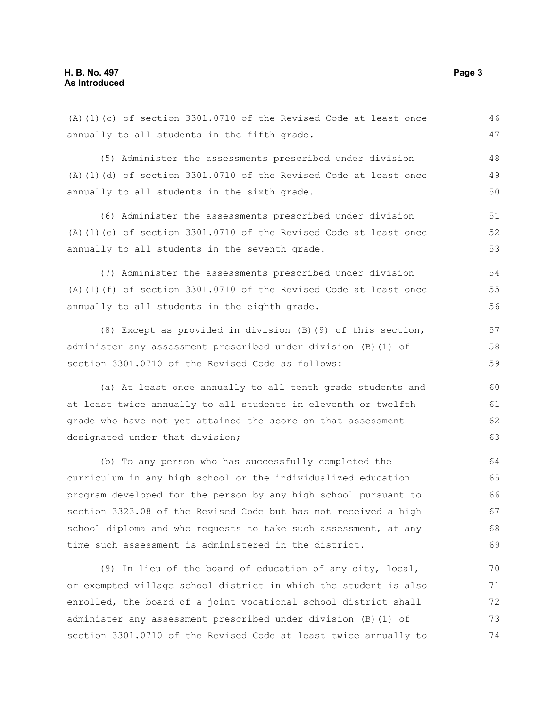annually to all students in the fifth grade. (5) Administer the assessments prescribed under division (A)(1)(d) of section 3301.0710 of the Revised Code at least once annually to all students in the sixth grade. (6) Administer the assessments prescribed under division (A)(1)(e) of section 3301.0710 of the Revised Code at least once annually to all students in the seventh grade. (7) Administer the assessments prescribed under division (A)(1)(f) of section 3301.0710 of the Revised Code at least once annually to all students in the eighth grade. (8) Except as provided in division (B)(9) of this section, administer any assessment prescribed under division (B)(1) of section 3301.0710 of the Revised Code as follows: (a) At least once annually to all tenth grade students and at least twice annually to all students in eleventh or twelfth grade who have not yet attained the score on that assessment designated under that division; (b) To any person who has successfully completed the curriculum in any high school or the individualized education program developed for the person by any high school pursuant to section 3323.08 of the Revised Code but has not received a high school diploma and who requests to take such assessment, at any time such assessment is administered in the district. (9) In lieu of the board of education of any city, local, or exempted village school district in which the student is also enrolled, the board of a joint vocational school district shall administer any assessment prescribed under division (B)(1) of 47 48 49 50 51 52 53 54 55 56 57 58 59 60 61 62 63 64 65 66 67 68 69 70 71 72 73

section 3301.0710 of the Revised Code at least twice annually to

(A)(1)(c) of section 3301.0710 of the Revised Code at least once

46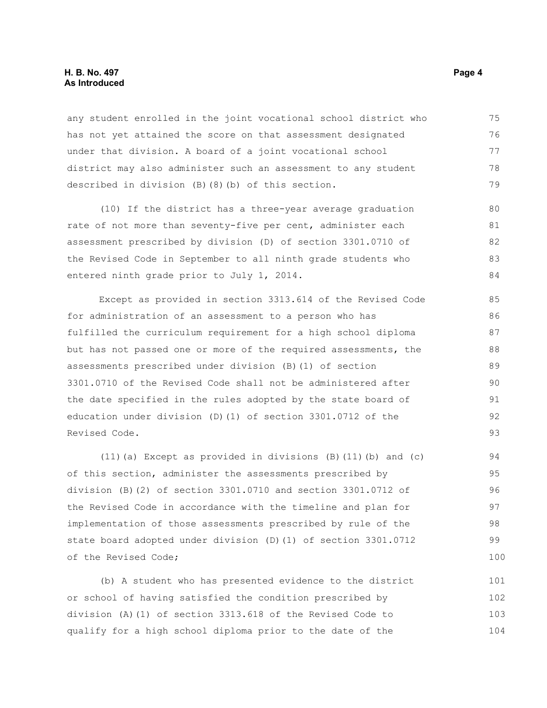#### **H. B. No. 497** Page 4 **As Introduced**

any student enrolled in the joint vocational school district who has not yet attained the score on that assessment designated under that division. A board of a joint vocational school district may also administer such an assessment to any student described in division (B)(8)(b) of this section. 75 76 77 78 79

(10) If the district has a three-year average graduation rate of not more than seventy-five per cent, administer each assessment prescribed by division (D) of section 3301.0710 of the Revised Code in September to all ninth grade students who entered ninth grade prior to July 1, 2014. 80 81 82 83 84

Except as provided in section 3313.614 of the Revised Code for administration of an assessment to a person who has fulfilled the curriculum requirement for a high school diploma but has not passed one or more of the required assessments, the assessments prescribed under division (B)(1) of section 3301.0710 of the Revised Code shall not be administered after the date specified in the rules adopted by the state board of education under division (D)(1) of section 3301.0712 of the Revised Code.

(11)(a) Except as provided in divisions (B)(11)(b) and (c) of this section, administer the assessments prescribed by division (B)(2) of section 3301.0710 and section 3301.0712 of the Revised Code in accordance with the timeline and plan for implementation of those assessments prescribed by rule of the state board adopted under division (D)(1) of section 3301.0712 of the Revised Code; 94 95 96 97 98 99 100

(b) A student who has presented evidence to the district or school of having satisfied the condition prescribed by division (A)(1) of section 3313.618 of the Revised Code to qualify for a high school diploma prior to the date of the 101 102 103 104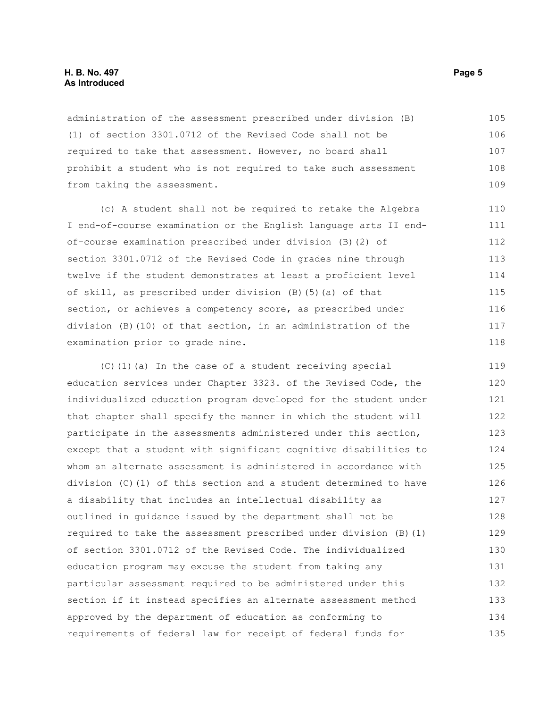#### **H. B. No. 497** Page 5 **As Introduced**

administration of the assessment prescribed under division (B) (1) of section 3301.0712 of the Revised Code shall not be required to take that assessment. However, no board shall prohibit a student who is not required to take such assessment from taking the assessment. 105 106 107 108 109

(c) A student shall not be required to retake the Algebra I end-of-course examination or the English language arts II endof-course examination prescribed under division (B)(2) of section 3301.0712 of the Revised Code in grades nine through twelve if the student demonstrates at least a proficient level of skill, as prescribed under division (B)(5)(a) of that section, or achieves a competency score, as prescribed under division (B)(10) of that section, in an administration of the examination prior to grade nine.

(C)(1)(a) In the case of a student receiving special education services under Chapter 3323. of the Revised Code, the individualized education program developed for the student under that chapter shall specify the manner in which the student will participate in the assessments administered under this section, except that a student with significant cognitive disabilities to whom an alternate assessment is administered in accordance with division (C)(1) of this section and a student determined to have a disability that includes an intellectual disability as outlined in guidance issued by the department shall not be required to take the assessment prescribed under division (B)(1) of section 3301.0712 of the Revised Code. The individualized education program may excuse the student from taking any particular assessment required to be administered under this section if it instead specifies an alternate assessment method approved by the department of education as conforming to requirements of federal law for receipt of federal funds for 119 120 121 122 123 124 125 126 127 128 129 130 131 132 133 134 135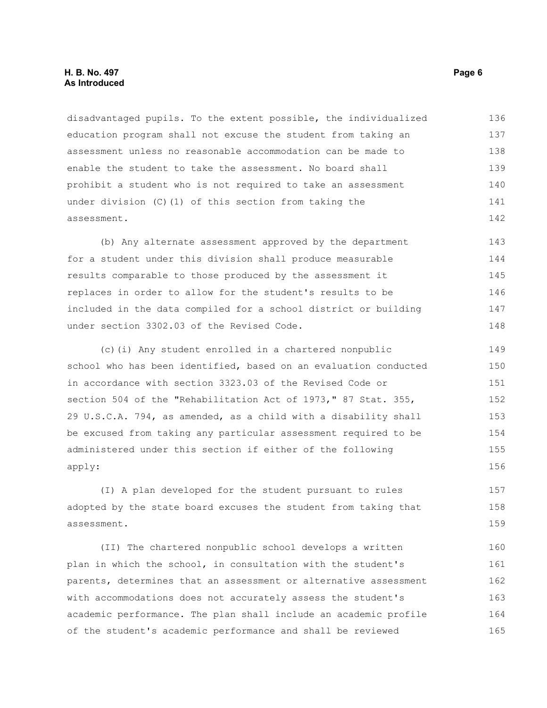#### **H. B. No. 497** Page 6 **As Introduced**

disadvantaged pupils. To the extent possible, the individualized education program shall not excuse the student from taking an assessment unless no reasonable accommodation can be made to enable the student to take the assessment. No board shall prohibit a student who is not required to take an assessment under division (C)(1) of this section from taking the assessment. 136 137 138 139 140 141 142

(b) Any alternate assessment approved by the department for a student under this division shall produce measurable results comparable to those produced by the assessment it replaces in order to allow for the student's results to be included in the data compiled for a school district or building under section 3302.03 of the Revised Code. 143 144 145 146 147 148

(c)(i) Any student enrolled in a chartered nonpublic school who has been identified, based on an evaluation conducted in accordance with section 3323.03 of the Revised Code or section 504 of the "Rehabilitation Act of 1973," 87 Stat. 355, 29 U.S.C.A. 794, as amended, as a child with a disability shall be excused from taking any particular assessment required to be administered under this section if either of the following apply: 149 150 151 152 153 154 155 156

(I) A plan developed for the student pursuant to rules adopted by the state board excuses the student from taking that assessment. 157 158 159

(II) The chartered nonpublic school develops a written plan in which the school, in consultation with the student's parents, determines that an assessment or alternative assessment with accommodations does not accurately assess the student's academic performance. The plan shall include an academic profile of the student's academic performance and shall be reviewed 160 161 162 163 164 165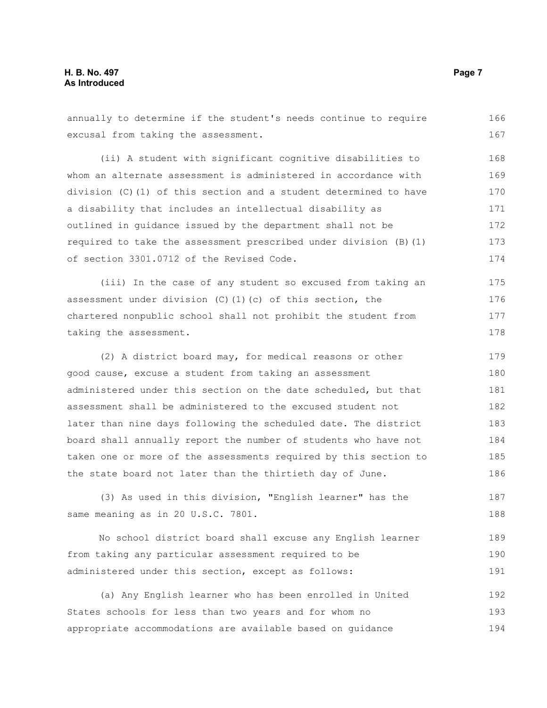annually to determine if the student's needs continue to require excusal from taking the assessment. (ii) A student with significant cognitive disabilities to whom an alternate assessment is administered in accordance with division (C)(1) of this section and a student determined to have a disability that includes an intellectual disability as outlined in guidance issued by the department shall not be required to take the assessment prescribed under division (B)(1) of section 3301.0712 of the Revised Code. (iii) In the case of any student so excused from taking an assessment under division (C)(1)(c) of this section, the chartered nonpublic school shall not prohibit the student from taking the assessment. (2) A district board may, for medical reasons or other good cause, excuse a student from taking an assessment administered under this section on the date scheduled, but that assessment shall be administered to the excused student not later than nine days following the scheduled date. The district board shall annually report the number of students who have not taken one or more of the assessments required by this section to the state board not later than the thirtieth day of June. (3) As used in this division, "English learner" has the same meaning as in 20 U.S.C. 7801. No school district board shall excuse any English learner 166 167 168 169 170 171 172 173 174 175 176 177 178 179 180 181 182 183 184 185 186 187 188 189

from taking any particular assessment required to be administered under this section, except as follows: 190 191

(a) Any English learner who has been enrolled in United States schools for less than two years and for whom no appropriate accommodations are available based on guidance 192 193 194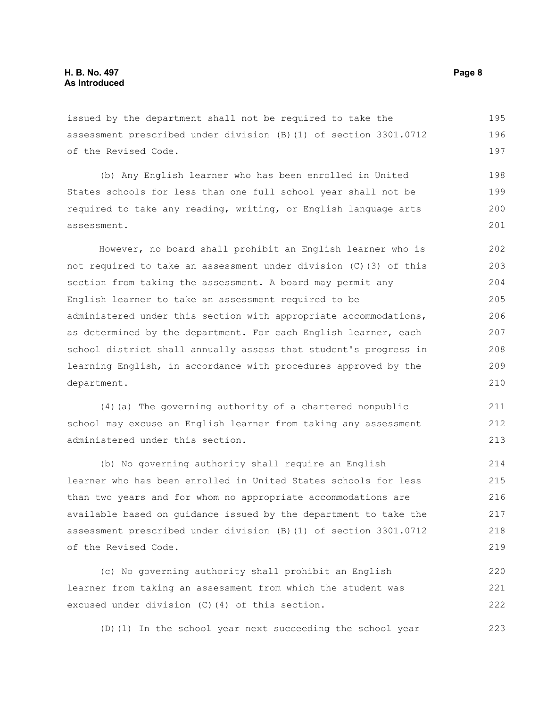issued by the department shall not be required to take the assessment prescribed under division (B)(1) of section 3301.0712 of the Revised Code.

(b) Any English learner who has been enrolled in United States schools for less than one full school year shall not be required to take any reading, writing, or English language arts assessment. 198 199 200 201

However, no board shall prohibit an English learner who is not required to take an assessment under division (C)(3) of this section from taking the assessment. A board may permit any English learner to take an assessment required to be administered under this section with appropriate accommodations, as determined by the department. For each English learner, each school district shall annually assess that student's progress in learning English, in accordance with procedures approved by the department. 202 203 204 205 206 207 208 209 210

(4)(a) The governing authority of a chartered nonpublic school may excuse an English learner from taking any assessment administered under this section.

(b) No governing authority shall require an English learner who has been enrolled in United States schools for less than two years and for whom no appropriate accommodations are available based on guidance issued by the department to take the assessment prescribed under division (B)(1) of section 3301.0712 of the Revised Code. 214 215 216 217 218 219

(c) No governing authority shall prohibit an English learner from taking an assessment from which the student was excused under division (C)(4) of this section. 220 221 222

(D)(1) In the school year next succeeding the school year 223

195 196 197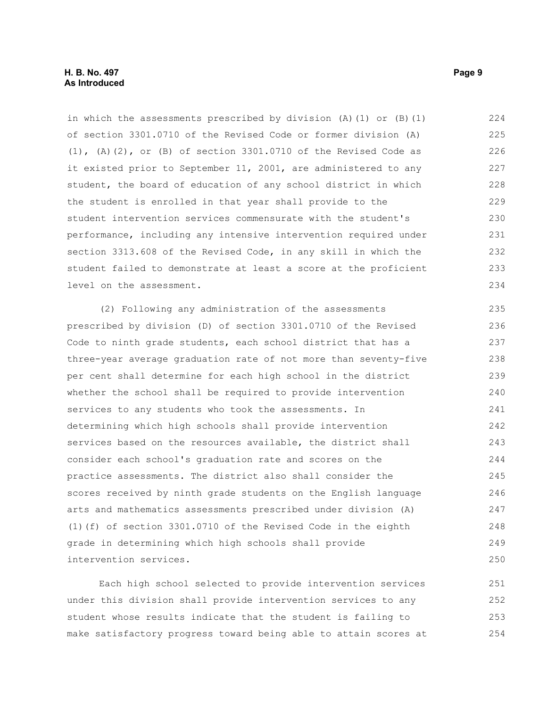in which the assessments prescribed by division  $(A)$  (1) or  $(B)$  (1) of section 3301.0710 of the Revised Code or former division (A) (1), (A)(2), or (B) of section 3301.0710 of the Revised Code as it existed prior to September 11, 2001, are administered to any student, the board of education of any school district in which the student is enrolled in that year shall provide to the student intervention services commensurate with the student's performance, including any intensive intervention required under section 3313.608 of the Revised Code, in any skill in which the student failed to demonstrate at least a score at the proficient level on the assessment. 224 225 226 227 228 229 230 231 232 233 234

(2) Following any administration of the assessments prescribed by division (D) of section 3301.0710 of the Revised Code to ninth grade students, each school district that has a three-year average graduation rate of not more than seventy-five per cent shall determine for each high school in the district whether the school shall be required to provide intervention services to any students who took the assessments. In determining which high schools shall provide intervention services based on the resources available, the district shall consider each school's graduation rate and scores on the practice assessments. The district also shall consider the scores received by ninth grade students on the English language arts and mathematics assessments prescribed under division (A) (1)(f) of section 3301.0710 of the Revised Code in the eighth grade in determining which high schools shall provide intervention services. 235 236 237 238 239 240 241 242 243 244 245 246 247 248 249 250

Each high school selected to provide intervention services under this division shall provide intervention services to any student whose results indicate that the student is failing to make satisfactory progress toward being able to attain scores at 251 252 253 254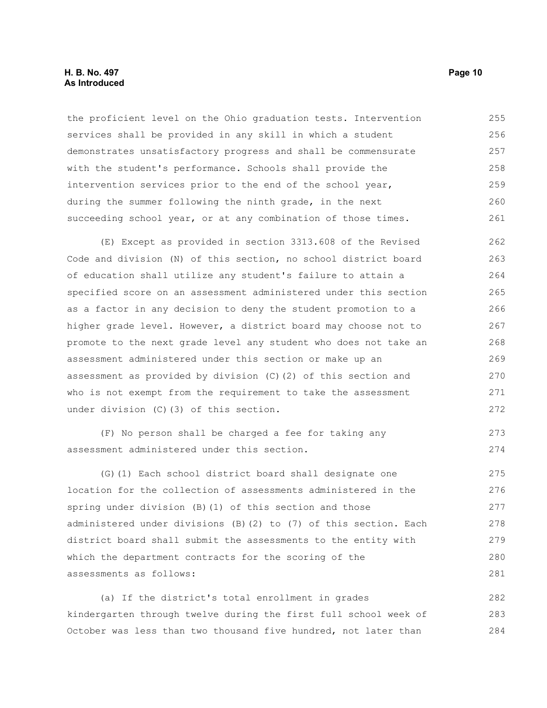#### **H. B. No. 497 Page 10 As Introduced**

the proficient level on the Ohio graduation tests. Intervention services shall be provided in any skill in which a student demonstrates unsatisfactory progress and shall be commensurate with the student's performance. Schools shall provide the intervention services prior to the end of the school year, during the summer following the ninth grade, in the next succeeding school year, or at any combination of those times. 255 256 257 258 259 260 261

(E) Except as provided in section 3313.608 of the Revised Code and division (N) of this section, no school district board of education shall utilize any student's failure to attain a specified score on an assessment administered under this section as a factor in any decision to deny the student promotion to a higher grade level. However, a district board may choose not to promote to the next grade level any student who does not take an assessment administered under this section or make up an assessment as provided by division (C)(2) of this section and who is not exempt from the requirement to take the assessment under division (C)(3) of this section. 262 263 264 265 266 267 268 269 270 271 272

(F) No person shall be charged a fee for taking any assessment administered under this section. 273 274

(G)(1) Each school district board shall designate one location for the collection of assessments administered in the spring under division (B)(1) of this section and those administered under divisions (B)(2) to (7) of this section. Each district board shall submit the assessments to the entity with which the department contracts for the scoring of the assessments as follows: 275 276 277 278 279 280 281

(a) If the district's total enrollment in grades kindergarten through twelve during the first full school week of October was less than two thousand five hundred, not later than 282 283 284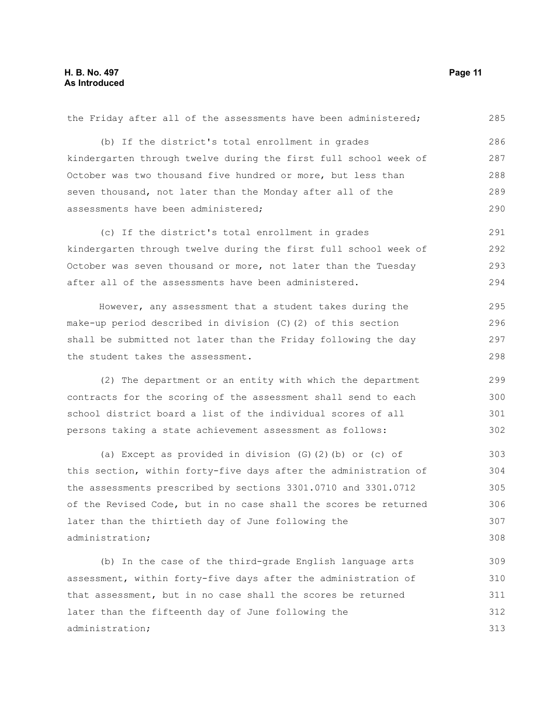| the Friday after all of the assessments have been administered;  | 285 |
|------------------------------------------------------------------|-----|
| (b) If the district's total enrollment in grades                 | 286 |
| kindergarten through twelve during the first full school week of | 287 |
| October was two thousand five hundred or more, but less than     | 288 |
| seven thousand, not later than the Monday after all of the       | 289 |
| assessments have been administered;                              | 290 |
| (c) If the district's total enrollment in grades                 | 291 |
| kindergarten through twelve during the first full school week of | 292 |
| October was seven thousand or more, not later than the Tuesday   | 293 |
| after all of the assessments have been administered.             | 294 |
| However, any assessment that a student takes during the          | 295 |
| make-up period described in division (C) (2) of this section     | 296 |
| shall be submitted not later than the Friday following the day   | 297 |
| the student takes the assessment.                                | 298 |
|                                                                  |     |
| (2) The department or an entity with which the department        | 299 |
| contracts for the scoring of the assessment shall send to each   | 300 |
| school district board a list of the individual scores of all     | 301 |
| persons taking a state achievement assessment as follows:        | 302 |
| (a) Except as provided in division $(G)$ $(2)$ $(b)$ or $(c)$ of | 303 |
| this section, within forty-five days after the administration of | 304 |
| the assessments prescribed by sections 3301.0710 and 3301.0712   | 305 |
| of the Revised Code, but in no case shall the scores be returned | 306 |
| later than the thirtieth day of June following the               | 307 |
| administration;                                                  | 308 |
| (b) In the case of the third-grade English language arts         | 309 |
| assessment, within forty-five days after the administration of   | 310 |
| that assessment, but in no case shall the scores be returned     | 311 |

administration;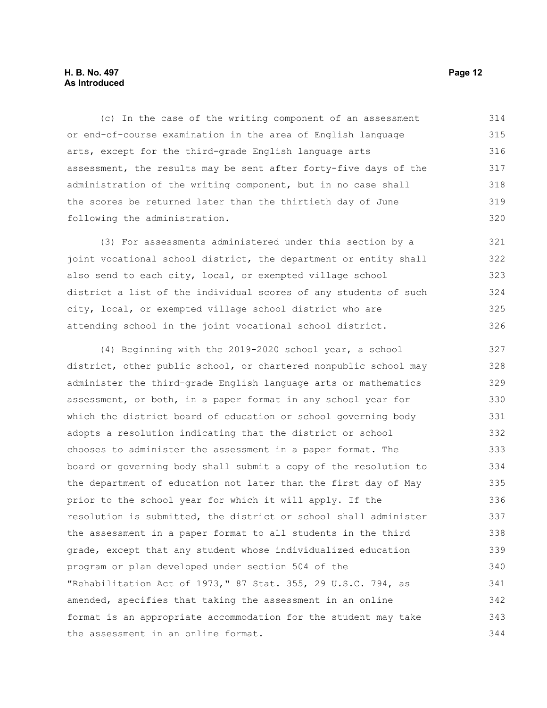#### **H. B. No. 497 Page 12 As Introduced**

(c) In the case of the writing component of an assessment or end-of-course examination in the area of English language arts, except for the third-grade English language arts assessment, the results may be sent after forty-five days of the administration of the writing component, but in no case shall the scores be returned later than the thirtieth day of June following the administration. 314 315 316 317 318 319 320

(3) For assessments administered under this section by a joint vocational school district, the department or entity shall also send to each city, local, or exempted village school district a list of the individual scores of any students of such city, local, or exempted village school district who are attending school in the joint vocational school district. 321 322 323 324 325 326

(4) Beginning with the 2019-2020 school year, a school district, other public school, or chartered nonpublic school may administer the third-grade English language arts or mathematics assessment, or both, in a paper format in any school year for which the district board of education or school governing body adopts a resolution indicating that the district or school chooses to administer the assessment in a paper format. The board or governing body shall submit a copy of the resolution to the department of education not later than the first day of May prior to the school year for which it will apply. If the resolution is submitted, the district or school shall administer the assessment in a paper format to all students in the third grade, except that any student whose individualized education program or plan developed under section 504 of the "Rehabilitation Act of 1973," 87 Stat. 355, 29 U.S.C. 794, as amended, specifies that taking the assessment in an online format is an appropriate accommodation for the student may take the assessment in an online format. 327 328 329 330 331 332 333 334 335 336 337 338 339 340 341 342 343 344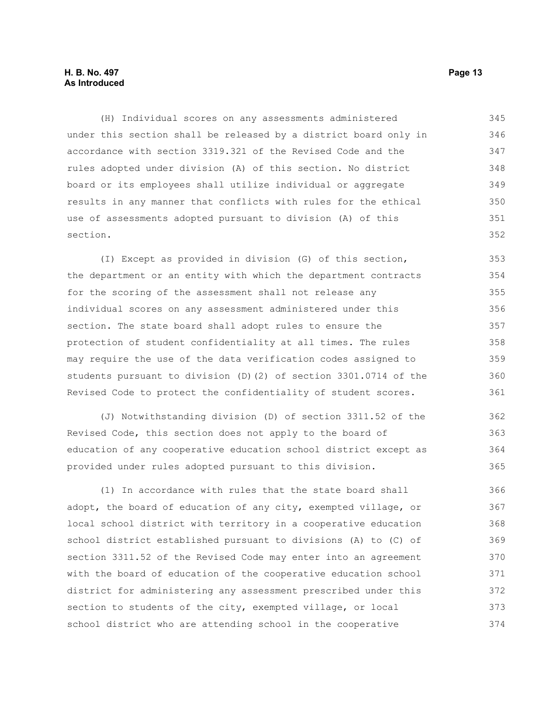#### **H. B. No. 497 Page 13 As Introduced**

(H) Individual scores on any assessments administered under this section shall be released by a district board only in accordance with section 3319.321 of the Revised Code and the rules adopted under division (A) of this section. No district board or its employees shall utilize individual or aggregate results in any manner that conflicts with rules for the ethical use of assessments adopted pursuant to division (A) of this section. 345 346 347 348 349 350 351 352

(I) Except as provided in division (G) of this section, the department or an entity with which the department contracts for the scoring of the assessment shall not release any individual scores on any assessment administered under this section. The state board shall adopt rules to ensure the protection of student confidentiality at all times. The rules may require the use of the data verification codes assigned to students pursuant to division (D)(2) of section 3301.0714 of the Revised Code to protect the confidentiality of student scores. 353 354 355 356 357 358 359 360 361

(J) Notwithstanding division (D) of section 3311.52 of the Revised Code, this section does not apply to the board of education of any cooperative education school district except as provided under rules adopted pursuant to this division. 362 363 364 365

(1) In accordance with rules that the state board shall adopt, the board of education of any city, exempted village, or local school district with territory in a cooperative education school district established pursuant to divisions (A) to (C) of section 3311.52 of the Revised Code may enter into an agreement with the board of education of the cooperative education school district for administering any assessment prescribed under this section to students of the city, exempted village, or local school district who are attending school in the cooperative 366 367 368 369 370 371 372 373 374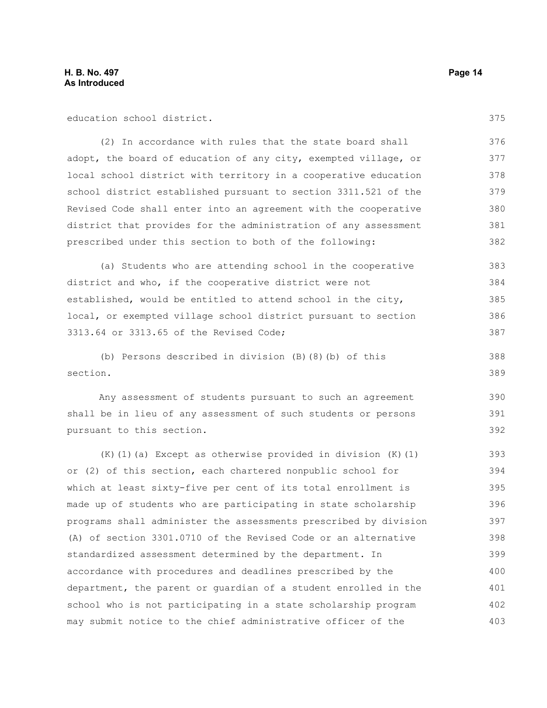education school district.

(2) In accordance with rules that the state board shall adopt, the board of education of any city, exempted village, or local school district with territory in a cooperative education school district established pursuant to section 3311.521 of the Revised Code shall enter into an agreement with the cooperative district that provides for the administration of any assessment prescribed under this section to both of the following: 376 377 378 379 380 381 382

(a) Students who are attending school in the cooperative district and who, if the cooperative district were not established, would be entitled to attend school in the city, local, or exempted village school district pursuant to section 3313.64 or 3313.65 of the Revised Code; 383 384 385 386 387

(b) Persons described in division (B)(8)(b) of this section.

Any assessment of students pursuant to such an agreement shall be in lieu of any assessment of such students or persons pursuant to this section.

(K)(1)(a) Except as otherwise provided in division (K)(1) or (2) of this section, each chartered nonpublic school for which at least sixty-five per cent of its total enrollment is made up of students who are participating in state scholarship programs shall administer the assessments prescribed by division (A) of section 3301.0710 of the Revised Code or an alternative standardized assessment determined by the department. In accordance with procedures and deadlines prescribed by the department, the parent or guardian of a student enrolled in the school who is not participating in a state scholarship program may submit notice to the chief administrative officer of the 393 394 395 396 397 398 399 400 401 402 403

375

388 389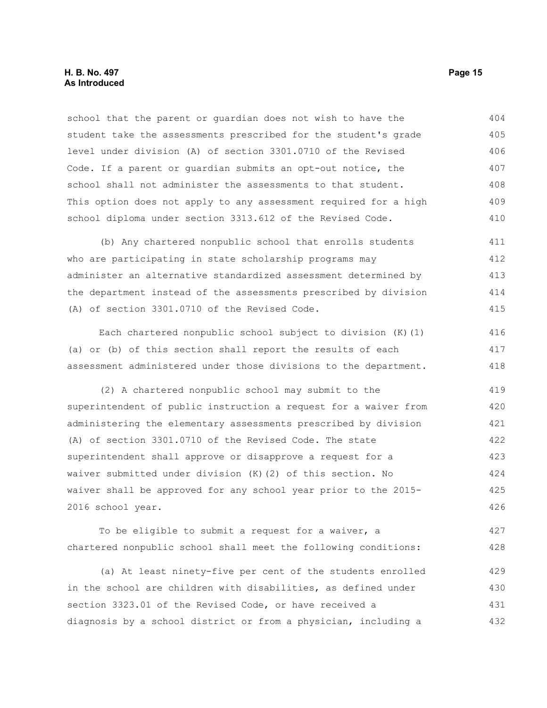school that the parent or guardian does not wish to have the student take the assessments prescribed for the student's grade level under division (A) of section 3301.0710 of the Revised Code. If a parent or guardian submits an opt-out notice, the school shall not administer the assessments to that student. This option does not apply to any assessment required for a high school diploma under section 3313.612 of the Revised Code. 404 405 406 407 408 409 410

(b) Any chartered nonpublic school that enrolls students who are participating in state scholarship programs may administer an alternative standardized assessment determined by the department instead of the assessments prescribed by division (A) of section 3301.0710 of the Revised Code. 411 412 413 414 415

Each chartered nonpublic school subject to division (K)(1) (a) or (b) of this section shall report the results of each assessment administered under those divisions to the department. 416 417 418

(2) A chartered nonpublic school may submit to the superintendent of public instruction a request for a waiver from administering the elementary assessments prescribed by division (A) of section 3301.0710 of the Revised Code. The state superintendent shall approve or disapprove a request for a waiver submitted under division (K)(2) of this section. No waiver shall be approved for any school year prior to the 2015- 2016 school year. 419 420 421 422 423 424 425 426

To be eligible to submit a request for a waiver, a chartered nonpublic school shall meet the following conditions: 427 428

(a) At least ninety-five per cent of the students enrolled in the school are children with disabilities, as defined under section 3323.01 of the Revised Code, or have received a diagnosis by a school district or from a physician, including a 429 430 431 432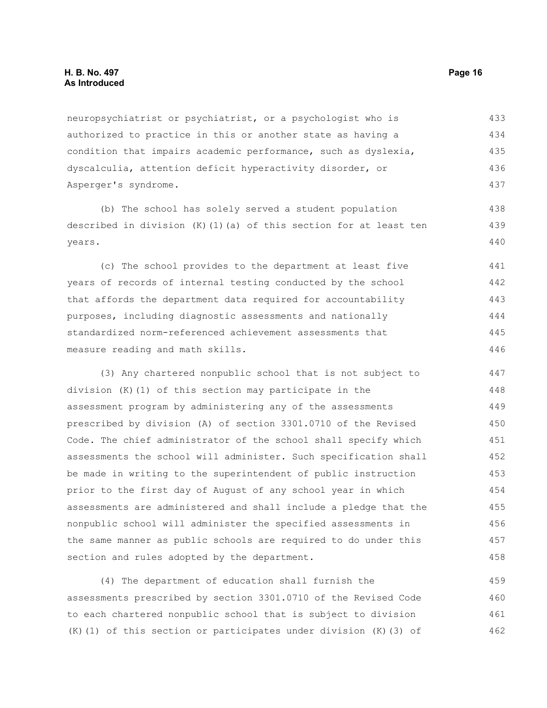#### **H. B. No. 497 Page 16 As Introduced**

neuropsychiatrist or psychiatrist, or a psychologist who is authorized to practice in this or another state as having a condition that impairs academic performance, such as dyslexia, dyscalculia, attention deficit hyperactivity disorder, or Asperger's syndrome. 433 434 435 436 437

(b) The school has solely served a student population described in division  $(K)$  (1)(a) of this section for at least ten years.

(c) The school provides to the department at least five years of records of internal testing conducted by the school that affords the department data required for accountability purposes, including diagnostic assessments and nationally standardized norm-referenced achievement assessments that measure reading and math skills. 441 442 443 444 445 446

(3) Any chartered nonpublic school that is not subject to division (K)(1) of this section may participate in the assessment program by administering any of the assessments prescribed by division (A) of section 3301.0710 of the Revised Code. The chief administrator of the school shall specify which assessments the school will administer. Such specification shall be made in writing to the superintendent of public instruction prior to the first day of August of any school year in which assessments are administered and shall include a pledge that the nonpublic school will administer the specified assessments in the same manner as public schools are required to do under this section and rules adopted by the department. 447 448 449 450 451 452 453 454 455 456 457 458

(4) The department of education shall furnish the assessments prescribed by section 3301.0710 of the Revised Code to each chartered nonpublic school that is subject to division (K)(1) of this section or participates under division (K)(3) of 459 460 461 462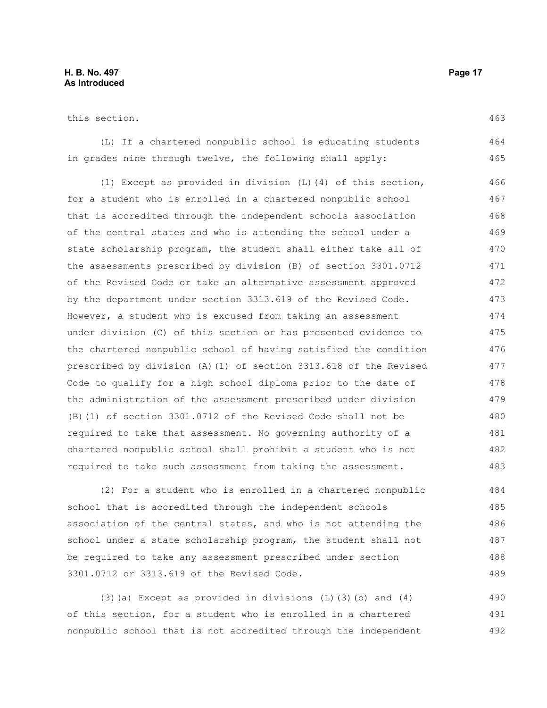#### **H. B. No. 497 Page 17 As Introduced**

this section.

(L) If a chartered nonpublic school is educating students in grades nine through twelve, the following shall apply: 464 465

(1) Except as provided in division (L)(4) of this section, for a student who is enrolled in a chartered nonpublic school that is accredited through the independent schools association of the central states and who is attending the school under a state scholarship program, the student shall either take all of the assessments prescribed by division (B) of section 3301.0712 of the Revised Code or take an alternative assessment approved by the department under section 3313.619 of the Revised Code. However, a student who is excused from taking an assessment under division (C) of this section or has presented evidence to the chartered nonpublic school of having satisfied the condition prescribed by division (A)(1) of section 3313.618 of the Revised Code to qualify for a high school diploma prior to the date of the administration of the assessment prescribed under division (B)(1) of section 3301.0712 of the Revised Code shall not be required to take that assessment. No governing authority of a chartered nonpublic school shall prohibit a student who is not required to take such assessment from taking the assessment. 466 467 468 469 470 471 472 473 474 475 476 477 478 479 480 481 482 483

(2) For a student who is enrolled in a chartered nonpublic school that is accredited through the independent schools association of the central states, and who is not attending the school under a state scholarship program, the student shall not be required to take any assessment prescribed under section 3301.0712 or 3313.619 of the Revised Code.

(3)(a) Except as provided in divisions (L)(3)(b) and (4) of this section, for a student who is enrolled in a chartered nonpublic school that is not accredited through the independent 490 491 492

463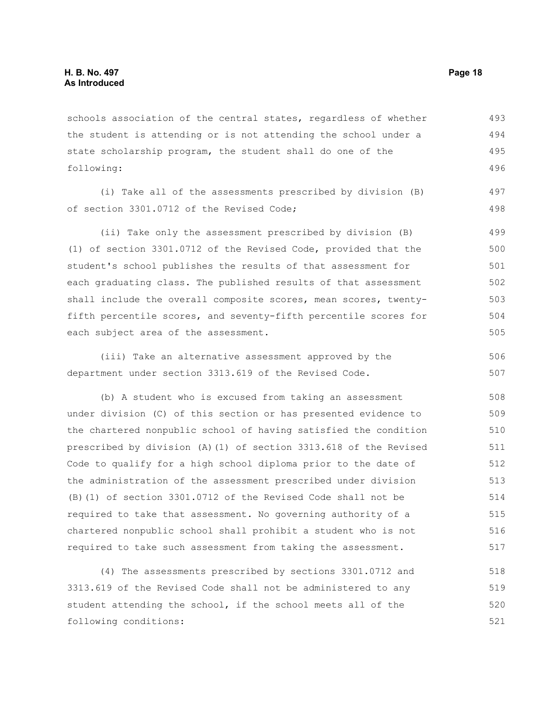schools association of the central states, regardless of whether the student is attending or is not attending the school under a state scholarship program, the student shall do one of the following: 493 494 495 496

(i) Take all of the assessments prescribed by division (B) of section 3301.0712 of the Revised Code; 497 498

(ii) Take only the assessment prescribed by division (B) (1) of section 3301.0712 of the Revised Code, provided that the student's school publishes the results of that assessment for each graduating class. The published results of that assessment shall include the overall composite scores, mean scores, twentyfifth percentile scores, and seventy-fifth percentile scores for each subject area of the assessment. 499 500 501 502 503 504 505

(iii) Take an alternative assessment approved by the department under section 3313.619 of the Revised Code. 506 507

(b) A student who is excused from taking an assessment under division (C) of this section or has presented evidence to the chartered nonpublic school of having satisfied the condition prescribed by division (A)(1) of section 3313.618 of the Revised Code to qualify for a high school diploma prior to the date of the administration of the assessment prescribed under division (B)(1) of section 3301.0712 of the Revised Code shall not be required to take that assessment. No governing authority of a chartered nonpublic school shall prohibit a student who is not required to take such assessment from taking the assessment. 508 509 510 511 512 513 514 515 516 517

(4) The assessments prescribed by sections 3301.0712 and 3313.619 of the Revised Code shall not be administered to any student attending the school, if the school meets all of the following conditions: 518 519 520 521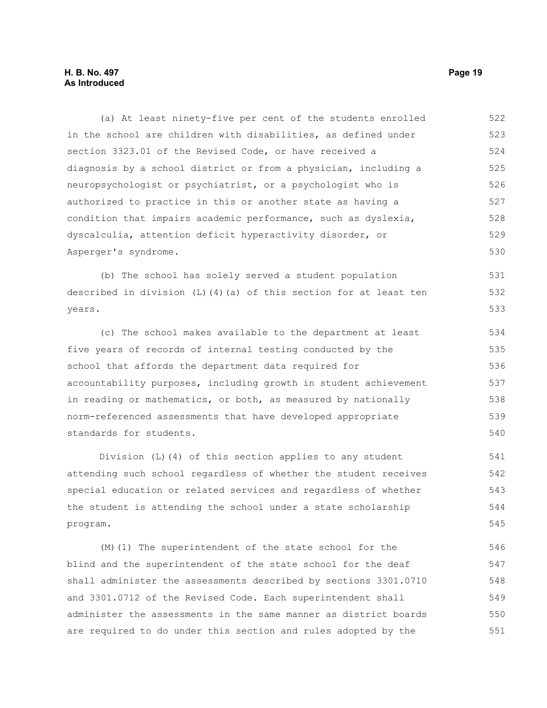#### **H. B. No. 497 Page 19 As Introduced**

(a) At least ninety-five per cent of the students enrolled in the school are children with disabilities, as defined under section 3323.01 of the Revised Code, or have received a diagnosis by a school district or from a physician, including a neuropsychologist or psychiatrist, or a psychologist who is authorized to practice in this or another state as having a condition that impairs academic performance, such as dyslexia, dyscalculia, attention deficit hyperactivity disorder, or Asperger's syndrome. (b) The school has solely served a student population described in division  $(L)$  (4)(a) of this section for at least ten years. (c) The school makes available to the department at least five years of records of internal testing conducted by the school that affords the department data required for 522 523 524 525 526 527 528 529 530 531 532 533 534 535 536

accountability purposes, including growth in student achievement in reading or mathematics, or both, as measured by nationally norm-referenced assessments that have developed appropriate standards for students. 537 538 539 540

Division (L)(4) of this section applies to any student attending such school regardless of whether the student receives special education or related services and regardless of whether the student is attending the school under a state scholarship program. 541 542 543 544 545

(M)(1) The superintendent of the state school for the blind and the superintendent of the state school for the deaf shall administer the assessments described by sections 3301.0710 and 3301.0712 of the Revised Code. Each superintendent shall administer the assessments in the same manner as district boards are required to do under this section and rules adopted by the 546 547 548 549 550 551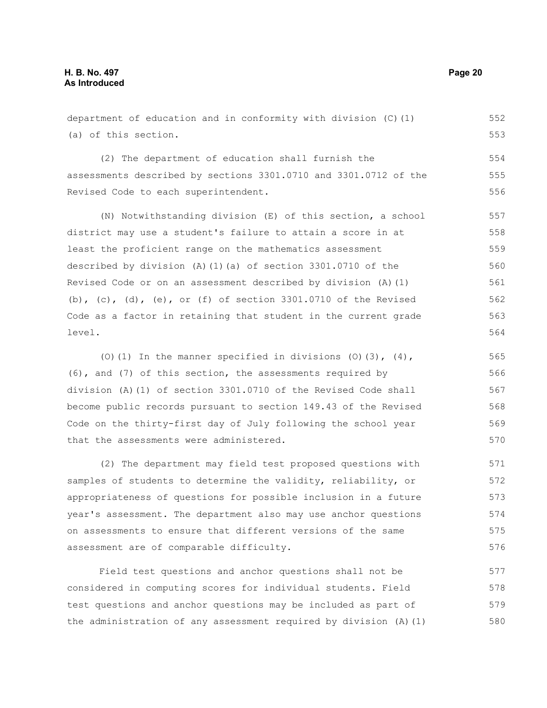department of education and in conformity with division (C)(1) (a) of this section. (2) The department of education shall furnish the assessments described by sections 3301.0710 and 3301.0712 of the Revised Code to each superintendent. (N) Notwithstanding division (E) of this section, a school district may use a student's failure to attain a score in at least the proficient range on the mathematics assessment described by division (A)(1)(a) of section 3301.0710 of the Revised Code or on an assessment described by division (A)(1) (b), (c), (d), (e), or (f) of section  $3301.0710$  of the Revised Code as a factor in retaining that student in the current grade level. 552 553 554 555 556 557 558 559 560 561 562 563 564

(O)(1) In the manner specified in divisions (O)(3),  $(4)$ , (6), and (7) of this section, the assessments required by division (A)(1) of section 3301.0710 of the Revised Code shall become public records pursuant to section 149.43 of the Revised Code on the thirty-first day of July following the school year that the assessments were administered. 565 566 567 568 569 570

(2) The department may field test proposed questions with samples of students to determine the validity, reliability, or appropriateness of questions for possible inclusion in a future year's assessment. The department also may use anchor questions on assessments to ensure that different versions of the same assessment are of comparable difficulty.

Field test questions and anchor questions shall not be considered in computing scores for individual students. Field test questions and anchor questions may be included as part of the administration of any assessment required by division (A)(1) 577 578 579 580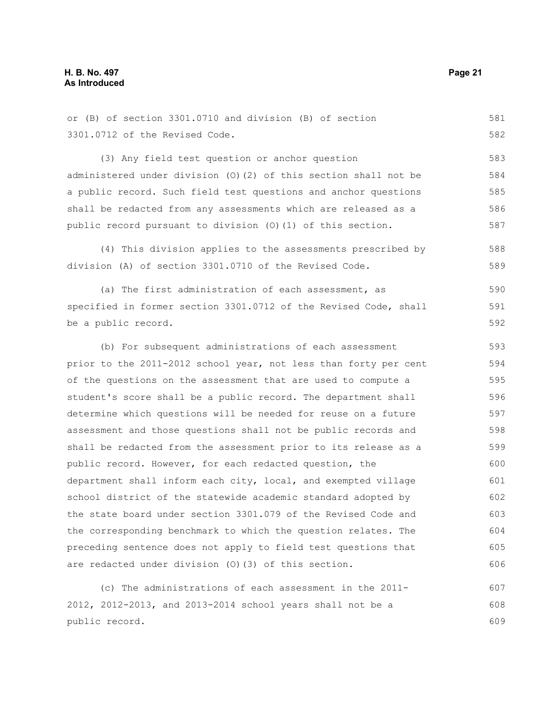or (B) of section 3301.0710 and division (B) of section 3301.0712 of the Revised Code. 581 582

(3) Any field test question or anchor question administered under division (O)(2) of this section shall not be a public record. Such field test questions and anchor questions shall be redacted from any assessments which are released as a public record pursuant to division (O)(1) of this section. 583 584 585 586 587

(4) This division applies to the assessments prescribed by division (A) of section 3301.0710 of the Revised Code. 588 589

(a) The first administration of each assessment, as specified in former section 3301.0712 of the Revised Code, shall be a public record. 590 591 592

(b) For subsequent administrations of each assessment prior to the 2011-2012 school year, not less than forty per cent of the questions on the assessment that are used to compute a student's score shall be a public record. The department shall determine which questions will be needed for reuse on a future assessment and those questions shall not be public records and shall be redacted from the assessment prior to its release as a public record. However, for each redacted question, the department shall inform each city, local, and exempted village school district of the statewide academic standard adopted by the state board under section 3301.079 of the Revised Code and the corresponding benchmark to which the question relates. The preceding sentence does not apply to field test questions that are redacted under division (O)(3) of this section. 593 594 595 596 597 598 599 600 601 602 603 604 605 606

(c) The administrations of each assessment in the 2011- 2012, 2012-2013, and 2013-2014 school years shall not be a public record. 607 608 609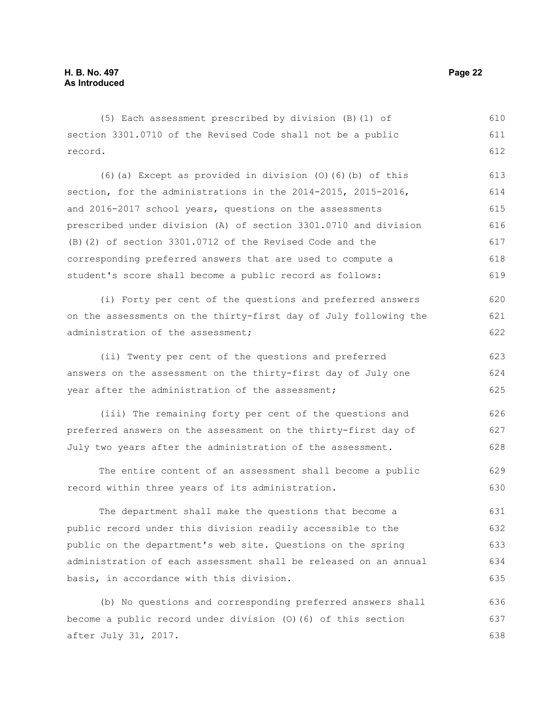(5) Each assessment prescribed by division (B)(1) of section 3301.0710 of the Revised Code shall not be a public record. 610 611 612

(6)(a) Except as provided in division (O)(6)(b) of this section, for the administrations in the 2014-2015, 2015-2016, and 2016-2017 school years, questions on the assessments prescribed under division (A) of section 3301.0710 and division (B)(2) of section 3301.0712 of the Revised Code and the corresponding preferred answers that are used to compute a student's score shall become a public record as follows: 613 614 615 616 617 618 619

(i) Forty per cent of the questions and preferred answers on the assessments on the thirty-first day of July following the administration of the assessment;

(ii) Twenty per cent of the questions and preferred answers on the assessment on the thirty-first day of July one year after the administration of the assessment; 623 624 625

(iii) The remaining forty per cent of the questions and preferred answers on the assessment on the thirty-first day of July two years after the administration of the assessment. 626 627 628

The entire content of an assessment shall become a public record within three years of its administration. 629 630

The department shall make the questions that become a public record under this division readily accessible to the public on the department's web site. Questions on the spring administration of each assessment shall be released on an annual basis, in accordance with this division. 631 632 633 634 635

(b) No questions and corresponding preferred answers shall become a public record under division (O)(6) of this section after July 31, 2017. 636 637 638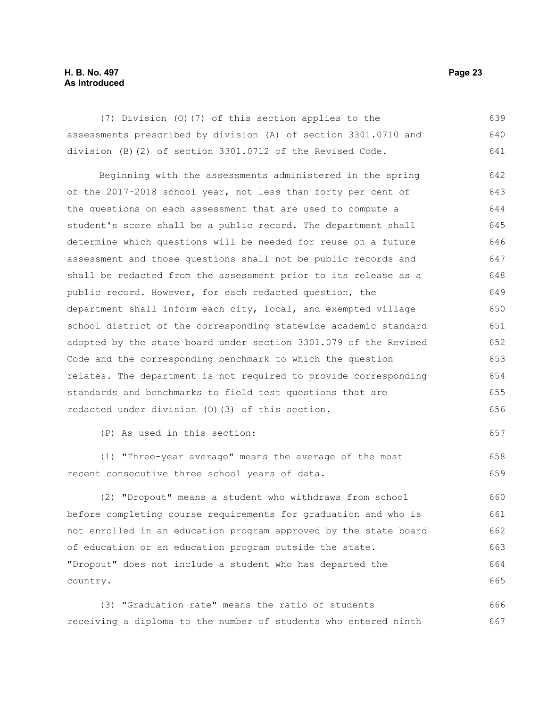#### **H. B. No. 497 Page 23 As Introduced**

(7) Division (O)(7) of this section applies to the assessments prescribed by division (A) of section 3301.0710 and division (B)(2) of section 3301.0712 of the Revised Code. 639 640 641

Beginning with the assessments administered in the spring of the 2017-2018 school year, not less than forty per cent of the questions on each assessment that are used to compute a student's score shall be a public record. The department shall determine which questions will be needed for reuse on a future assessment and those questions shall not be public records and shall be redacted from the assessment prior to its release as a public record. However, for each redacted question, the department shall inform each city, local, and exempted village school district of the corresponding statewide academic standard adopted by the state board under section 3301.079 of the Revised Code and the corresponding benchmark to which the question relates. The department is not required to provide corresponding standards and benchmarks to field test questions that are redacted under division (O)(3) of this section. 642 643 644 645 646 647 648 649 650 651 652 653 654 655 656

(P) As used in this section:

(1) "Three-year average" means the average of the most recent consecutive three school years of data.

(2) "Dropout" means a student who withdraws from school before completing course requirements for graduation and who is not enrolled in an education program approved by the state board of education or an education program outside the state. "Dropout" does not include a student who has departed the country. 660 661 662 663 664 665

(3) "Graduation rate" means the ratio of students receiving a diploma to the number of students who entered ninth 666 667

657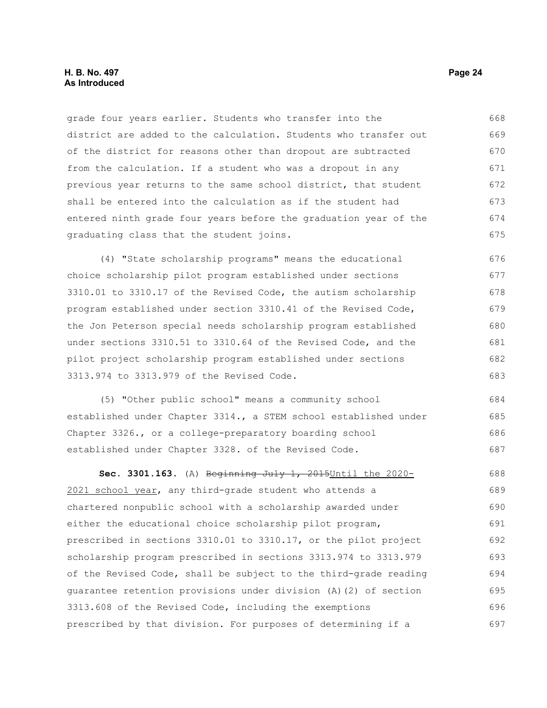grade four years earlier. Students who transfer into the district are added to the calculation. Students who transfer out of the district for reasons other than dropout are subtracted from the calculation. If a student who was a dropout in any previous year returns to the same school district, that student shall be entered into the calculation as if the student had entered ninth grade four years before the graduation year of the graduating class that the student joins. 668 669 670 671 672 673 674 675

(4) "State scholarship programs" means the educational choice scholarship pilot program established under sections 3310.01 to 3310.17 of the Revised Code, the autism scholarship program established under section 3310.41 of the Revised Code, the Jon Peterson special needs scholarship program established under sections 3310.51 to 3310.64 of the Revised Code, and the pilot project scholarship program established under sections 3313.974 to 3313.979 of the Revised Code. 676 677 678 679 680 681 682 683

(5) "Other public school" means a community school established under Chapter 3314., a STEM school established under Chapter 3326., or a college-preparatory boarding school established under Chapter 3328. of the Revised Code. 684 685 686 687

**Sec. 3301.163.** (A) Beginning July 1, 2015Until the 2020- 2021 school year, any third-grade student who attends a chartered nonpublic school with a scholarship awarded under either the educational choice scholarship pilot program, prescribed in sections 3310.01 to 3310.17, or the pilot project scholarship program prescribed in sections 3313.974 to 3313.979 of the Revised Code, shall be subject to the third-grade reading guarantee retention provisions under division (A)(2) of section 3313.608 of the Revised Code, including the exemptions prescribed by that division. For purposes of determining if a 688 689 690 691 692 693 694 695 696 697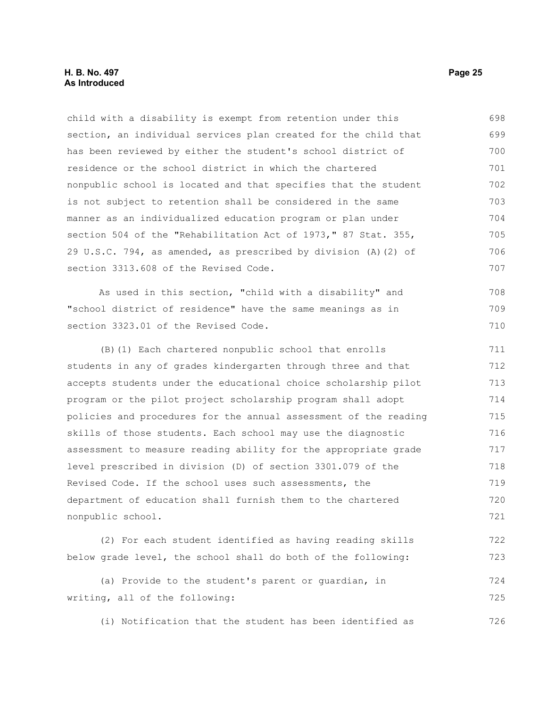child with a disability is exempt from retention under this section, an individual services plan created for the child that has been reviewed by either the student's school district of residence or the school district in which the chartered nonpublic school is located and that specifies that the student is not subject to retention shall be considered in the same manner as an individualized education program or plan under section 504 of the "Rehabilitation Act of 1973," 87 Stat. 355, 29 U.S.C. 794, as amended, as prescribed by division (A)(2) of section 3313.608 of the Revised Code. 698 699 700 701 702 703 704 705 706 707

As used in this section, "child with a disability" and "school district of residence" have the same meanings as in section 3323.01 of the Revised Code.

(B)(1) Each chartered nonpublic school that enrolls students in any of grades kindergarten through three and that accepts students under the educational choice scholarship pilot program or the pilot project scholarship program shall adopt policies and procedures for the annual assessment of the reading skills of those students. Each school may use the diagnostic assessment to measure reading ability for the appropriate grade level prescribed in division (D) of section 3301.079 of the Revised Code. If the school uses such assessments, the department of education shall furnish them to the chartered nonpublic school. 711 712 713 714 715 716 717 718 719 720 721

(2) For each student identified as having reading skills below grade level, the school shall do both of the following: 722 723

(a) Provide to the student's parent or guardian, in writing, all of the following: 724 725

(i) Notification that the student has been identified as

708 709 710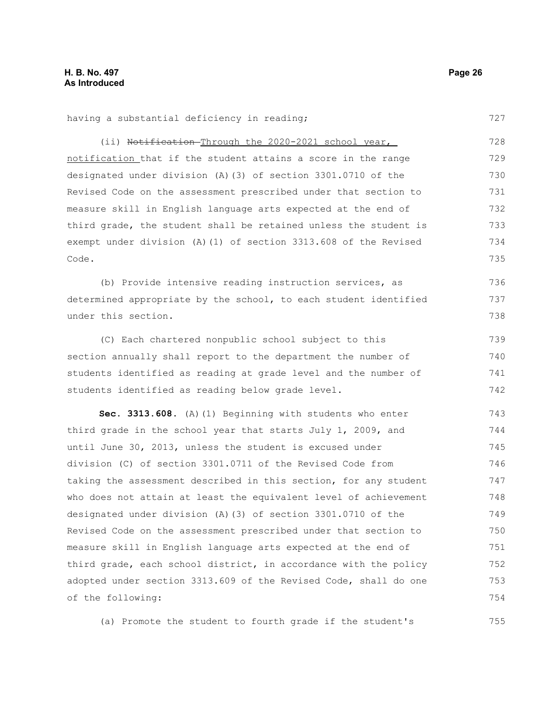727

736 737 738

having a substantial deficiency in reading;

(ii) Notification-Through the 2020-2021 school year, notification that if the student attains a score in the range designated under division (A)(3) of section 3301.0710 of the Revised Code on the assessment prescribed under that section to measure skill in English language arts expected at the end of third grade, the student shall be retained unless the student is exempt under division (A)(1) of section 3313.608 of the Revised Code. 728 729 730 731 732 733 734 735

(b) Provide intensive reading instruction services, as determined appropriate by the school, to each student identified under this section.

(C) Each chartered nonpublic school subject to this section annually shall report to the department the number of students identified as reading at grade level and the number of students identified as reading below grade level. 739 740 741 742

**Sec. 3313.608.** (A)(1) Beginning with students who enter third grade in the school year that starts July 1, 2009, and until June 30, 2013, unless the student is excused under division (C) of section 3301.0711 of the Revised Code from taking the assessment described in this section, for any student who does not attain at least the equivalent level of achievement designated under division (A)(3) of section 3301.0710 of the Revised Code on the assessment prescribed under that section to measure skill in English language arts expected at the end of third grade, each school district, in accordance with the policy adopted under section 3313.609 of the Revised Code, shall do one of the following: 743 744 745 746 747 748 749 750 751 752 753 754

(a) Promote the student to fourth grade if the student's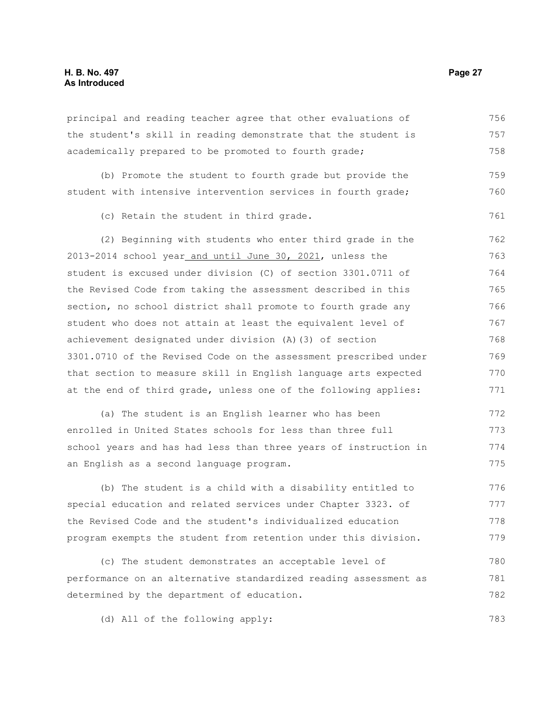#### **H. B. No. 497 Page 27 As Introduced**

principal and reading teacher agree that other evaluations of the student's skill in reading demonstrate that the student is academically prepared to be promoted to fourth grade; 756 757 758

(b) Promote the student to fourth grade but provide the student with intensive intervention services in fourth grade; 759 760

(c) Retain the student in third grade.

(2) Beginning with students who enter third grade in the 2013-2014 school year and until June 30, 2021, unless the student is excused under division (C) of section 3301.0711 of the Revised Code from taking the assessment described in this section, no school district shall promote to fourth grade any student who does not attain at least the equivalent level of achievement designated under division (A)(3) of section 3301.0710 of the Revised Code on the assessment prescribed under that section to measure skill in English language arts expected at the end of third grade, unless one of the following applies: 762 763 764 765 766 767 768 769 770 771

(a) The student is an English learner who has been enrolled in United States schools for less than three full school years and has had less than three years of instruction in an English as a second language program. 772 773 774 775

(b) The student is a child with a disability entitled to special education and related services under Chapter 3323. of the Revised Code and the student's individualized education program exempts the student from retention under this division. 776 777 778 779

(c) The student demonstrates an acceptable level of performance on an alternative standardized reading assessment as determined by the department of education. 780 781 782

(d) All of the following apply:

761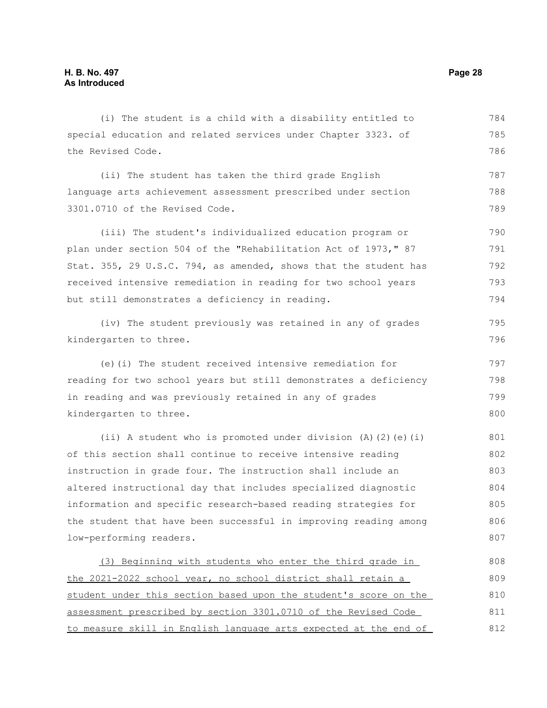the Revised Code.

3301.0710 of the Revised Code.

special education and related services under Chapter 3323. of (ii) The student has taken the third grade English language arts achievement assessment prescribed under section (iii) The student's individualized education program or

plan under section 504 of the "Rehabilitation Act of 1973," 87 Stat. 355, 29 U.S.C. 794, as amended, shows that the student has received intensive remediation in reading for two school years but still demonstrates a deficiency in reading. 790 791 792 793 794

(iv) The student previously was retained in any of grades kindergarten to three.

(i) The student is a child with a disability entitled to

(e)(i) The student received intensive remediation for reading for two school years but still demonstrates a deficiency in reading and was previously retained in any of grades kindergarten to three. 797 798 799 800

(ii) A student who is promoted under division (A)(2)(e)(i) of this section shall continue to receive intensive reading instruction in grade four. The instruction shall include an altered instructional day that includes specialized diagnostic information and specific research-based reading strategies for the student that have been successful in improving reading among low-performing readers. 801 802 803 804 805 806 807

(3) Beginning with students who enter the third grade in the 2021-2022 school year, no school district shall retain a student under this section based upon the student's score on the assessment prescribed by section 3301.0710 of the Revised Code to measure skill in English language arts expected at the end of 808 809 810 811 812

784 785 786

787 788 789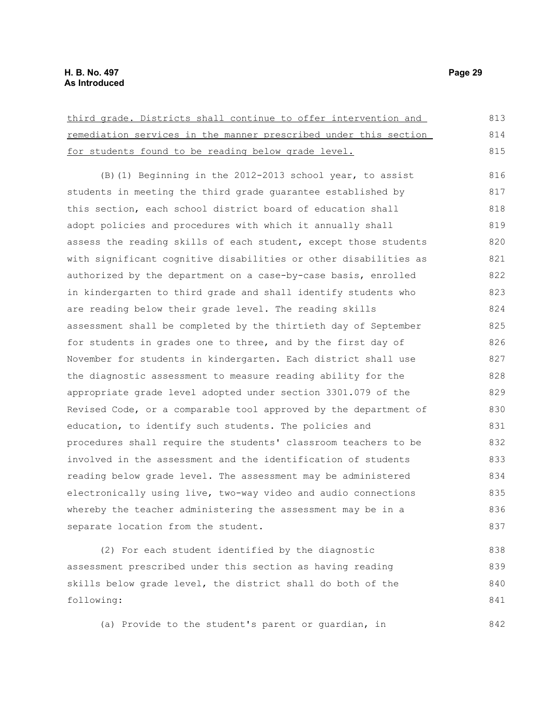third grade. Districts shall continue to offer intervention and remediation services in the manner prescribed under this section for students found to be reading below grade level. (B)(1) Beginning in the 2012-2013 school year, to assist students in meeting the third grade guarantee established by this section, each school district board of education shall adopt policies and procedures with which it annually shall assess the reading skills of each student, except those students with significant cognitive disabilities or other disabilities as authorized by the department on a case-by-case basis, enrolled in kindergarten to third grade and shall identify students who are reading below their grade level. The reading skills assessment shall be completed by the thirtieth day of September for students in grades one to three, and by the first day of November for students in kindergarten. Each district shall use the diagnostic assessment to measure reading ability for the appropriate grade level adopted under section 3301.079 of the Revised Code, or a comparable tool approved by the department of education, to identify such students. The policies and procedures shall require the students' classroom teachers to be involved in the assessment and the identification of students reading below grade level. The assessment may be administered electronically using live, two-way video and audio connections whereby the teacher administering the assessment may be in a separate location from the student. 813 814 815 816 817 818 819 820 821 822 823 824 825 826 827 828 829 830 831 832 833 834 835 836 837

(2) For each student identified by the diagnostic assessment prescribed under this section as having reading skills below grade level, the district shall do both of the following: 838 839 840 841

(a) Provide to the student's parent or guardian, in 842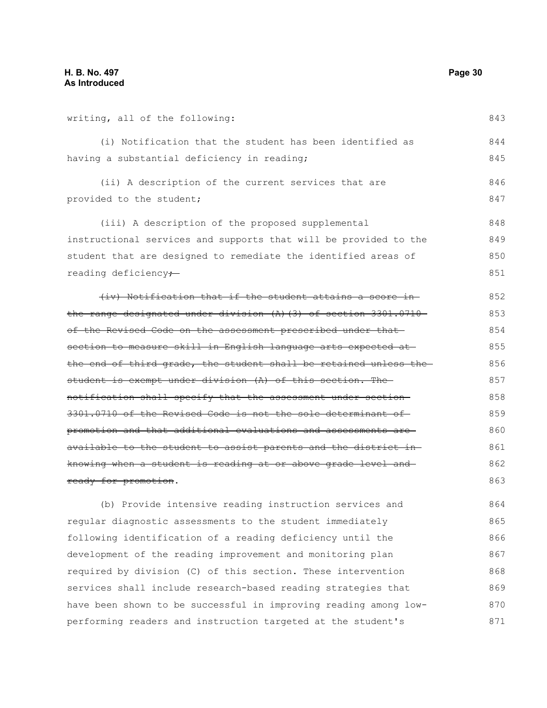writing, all of the following:

843

(i) Notification that the student has been identified as having a substantial deficiency in reading; 844 845

(ii) A description of the current services that are provided to the student; 846 847

(iii) A description of the proposed supplemental instructional services and supports that will be provided to the student that are designed to remediate the identified areas of reading deficiency-848 849 850 851

(iv) Notification that if the student attains a score in the range designated under division (A)(3) of section 3301.0710 of the Revised Code on the assessment prescribed under that section to measure skill in English language arts expected at the end of third grade, the student shall be retained unless the student is exempt under division (A) of this section. The notification shall specify that the assessment under section 3301.0710 of the Revised Code is not the sole determinant of promotion and that additional evaluations and assessments are available to the student to assist parents and the district in knowing when a student is reading at or above grade level and ready for promotion. 852 853 854 855 856 857 858 859 860 861 862 863

(b) Provide intensive reading instruction services and regular diagnostic assessments to the student immediately following identification of a reading deficiency until the development of the reading improvement and monitoring plan required by division (C) of this section. These intervention services shall include research-based reading strategies that have been shown to be successful in improving reading among lowperforming readers and instruction targeted at the student's 864 865 866 867 868 869 870 871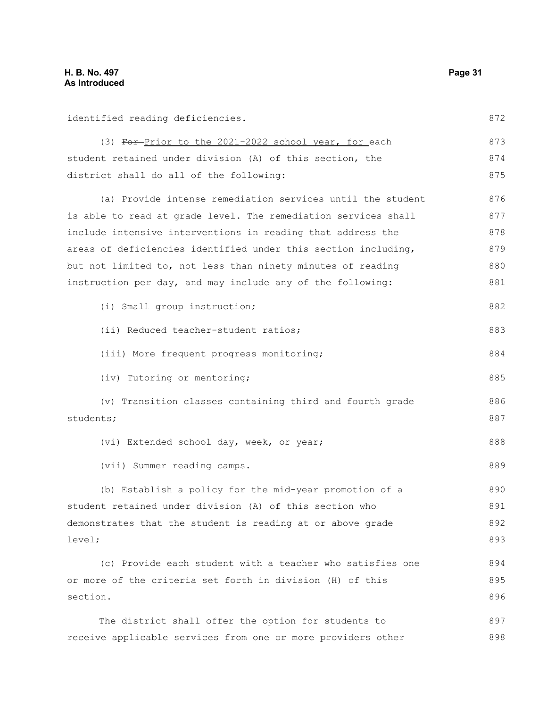identified reading deficiencies.

(3) For-Prior to the 2021-2022 school year, for each student retained under division (A) of this section, the district shall do all of the following: (a) Provide intense remediation services until the student is able to read at grade level. The remediation services shall include intensive interventions in reading that address the areas of deficiencies identified under this section including, but not limited to, not less than ninety minutes of reading instruction per day, and may include any of the following: (i) Small group instruction; (ii) Reduced teacher-student ratios; (iii) More frequent progress monitoring; (iv) Tutoring or mentoring; (v) Transition classes containing third and fourth grade students; (vi) Extended school day, week, or year; (vii) Summer reading camps. (b) Establish a policy for the mid-year promotion of a student retained under division (A) of this section who demonstrates that the student is reading at or above grade level; (c) Provide each student with a teacher who satisfies one or more of the criteria set forth in division (H) of this section. 872 873 874 875 876 877 878 879 880 881 882 883 884 885 886 887 888 889 890 891 892 893 894 895 896

The district shall offer the option for students to receive applicable services from one or more providers other 897 898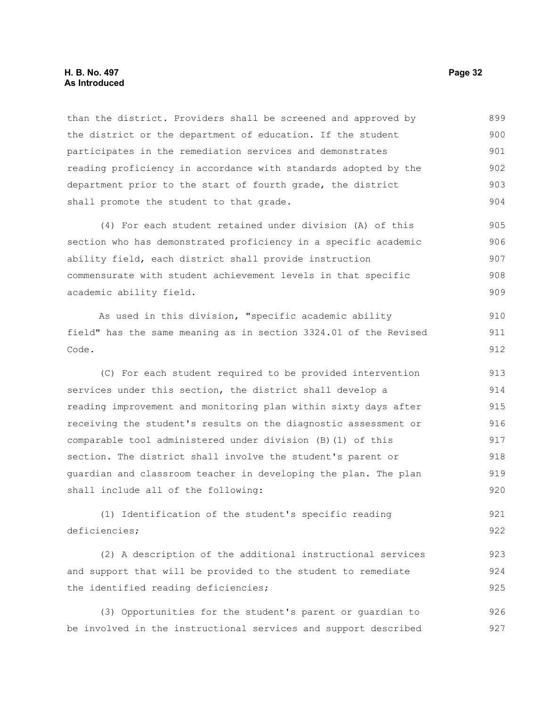#### **H. B. No. 497 Page 32 As Introduced**

than the district. Providers shall be screened and approved by the district or the department of education. If the student participates in the remediation services and demonstrates reading proficiency in accordance with standards adopted by the department prior to the start of fourth grade, the district shall promote the student to that grade. 899 900 901 902 903 904

(4) For each student retained under division (A) of this section who has demonstrated proficiency in a specific academic ability field, each district shall provide instruction commensurate with student achievement levels in that specific academic ability field. 905 906 907 908 909

As used in this division, "specific academic ability field" has the same meaning as in section 3324.01 of the Revised Code.

(C) For each student required to be provided intervention services under this section, the district shall develop a reading improvement and monitoring plan within sixty days after receiving the student's results on the diagnostic assessment or comparable tool administered under division (B)(1) of this section. The district shall involve the student's parent or guardian and classroom teacher in developing the plan. The plan shall include all of the following: 913 914 915 916 917 918 919 920

(1) Identification of the student's specific reading deficiencies; 921 922

(2) A description of the additional instructional services and support that will be provided to the student to remediate the identified reading deficiencies; 923 924 925

(3) Opportunities for the student's parent or guardian to be involved in the instructional services and support described 926 927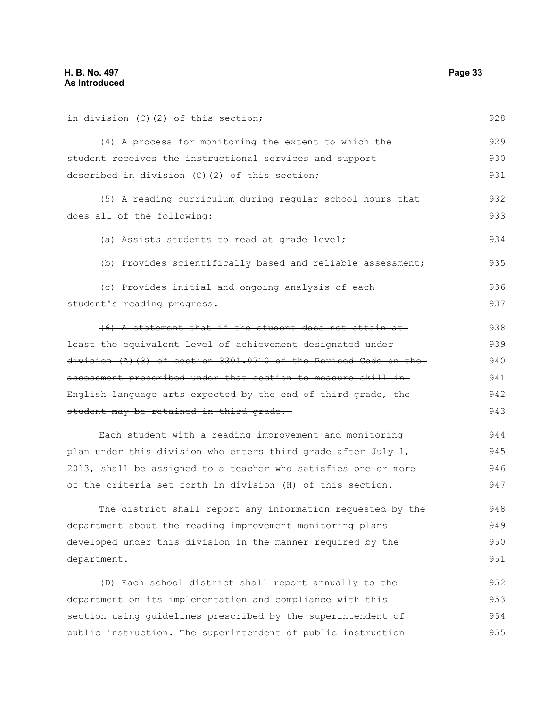| in division (C) (2) of this section;                                | 928 |
|---------------------------------------------------------------------|-----|
| (4) A process for monitoring the extent to which the                | 929 |
| student receives the instructional services and support             |     |
| described in division (C)(2) of this section;                       | 931 |
| (5) A reading curriculum during regular school hours that           | 932 |
| does all of the following:                                          | 933 |
| (a) Assists students to read at grade level;                        | 934 |
| (b) Provides scientifically based and reliable assessment;          | 935 |
| (c) Provides initial and ongoing analysis of each                   | 936 |
| student's reading progress.                                         | 937 |
| (6) A statement that if the student does not attain at              | 938 |
| least the equivalent level of achievement designated under-         | 939 |
| $division (A) (3) of section 3301.0710 of the Revised Code on the-$ | 940 |
| assessment prescribed under that section to measure skill in-       | 941 |
| English language arts expected by the end of third grade, the       | 942 |
| student may be retained in third grade.                             | 943 |
| Each student with a reading improvement and monitoring              | 944 |
| plan under this division who enters third grade after July 1,       | 945 |
| 2013, shall be assigned to a teacher who satisfies one or more      | 946 |
| of the criteria set forth in division (H) of this section.          | 947 |
| The district shall report any information requested by the          | 948 |
| department about the reading improvement monitoring plans           | 949 |
| developed under this division in the manner required by the         | 950 |
| department.                                                         | 951 |
| (D) Each school district shall report annually to the               | 952 |
| department on its implementation and compliance with this           | 953 |
| section using guidelines prescribed by the superintendent of        |     |

public instruction. The superintendent of public instruction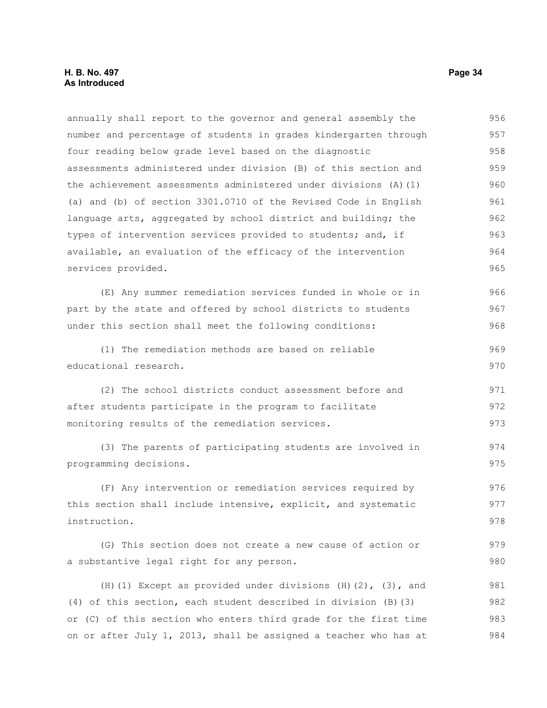annually shall report to the governor and general assembly the number and percentage of students in grades kindergarten through four reading below grade level based on the diagnostic assessments administered under division (B) of this section and the achievement assessments administered under divisions (A)(1) (a) and (b) of section 3301.0710 of the Revised Code in English language arts, aggregated by school district and building; the types of intervention services provided to students; and, if available, an evaluation of the efficacy of the intervention services provided. (E) Any summer remediation services funded in whole or in part by the state and offered by school districts to students under this section shall meet the following conditions: (1) The remediation methods are based on reliable educational research. (2) The school districts conduct assessment before and after students participate in the program to facilitate monitoring results of the remediation services. (3) The parents of participating students are involved in programming decisions. (F) Any intervention or remediation services required by this section shall include intensive, explicit, and systematic instruction. (G) This section does not create a new cause of action or a substantive legal right for any person. (H)(1) Except as provided under divisions  $(H)(2)$ ,  $(3)$ , and (4) of this section, each student described in division (B)(3) 956 957 958 959 960 961 962 963 964 965 966 967 968 969 970 971 972 973 974 975 976 977 978 979 980 981 982

or (C) of this section who enters third grade for the first time on or after July 1, 2013, shall be assigned a teacher who has at 983 984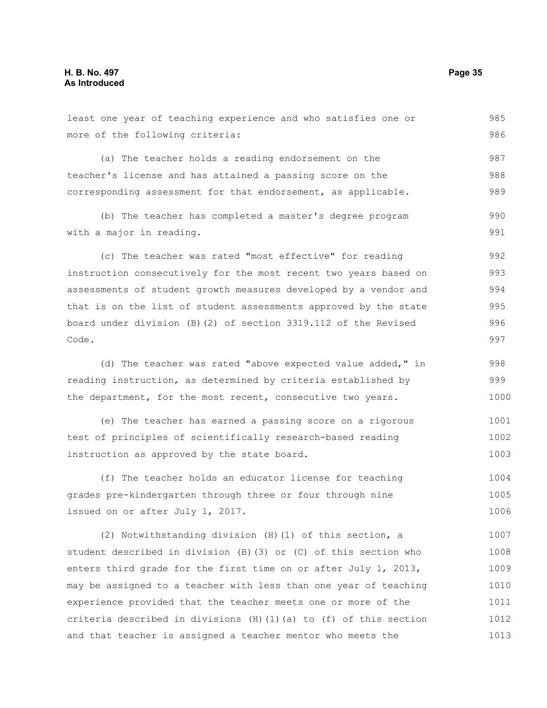least one year of teaching experience and who satisfies one or more of the following criteria: (a) The teacher holds a reading endorsement on the teacher's license and has attained a passing score on the corresponding assessment for that endorsement, as applicable. (b) The teacher has completed a master's degree program with a major in reading. (c) The teacher was rated "most effective" for reading instruction consecutively for the most recent two years based on assessments of student growth measures developed by a vendor and that is on the list of student assessments approved by the state board under division (B)(2) of section 3319.112 of the Revised Code. (d) The teacher was rated "above expected value added," in reading instruction, as determined by criteria established by the department, for the most recent, consecutive two years. (e) The teacher has earned a passing score on a rigorous test of principles of scientifically research-based reading instruction as approved by the state board. (f) The teacher holds an educator license for teaching grades pre-kindergarten through three or four through nine issued on or after July 1, 2017. (2) Notwithstanding division (H)(1) of this section, a 985 986 987 988 989 990 991 992 993 994 995 996 997 998 999 1000 1001 1002 1003 1004 1005 1006 1007

student described in division (B)(3) or (C) of this section who enters third grade for the first time on or after July 1, 2013, may be assigned to a teacher with less than one year of teaching experience provided that the teacher meets one or more of the criteria described in divisions (H)(1)(a) to (f) of this section and that teacher is assigned a teacher mentor who meets the 1008 1009 1010 1011 1012 1013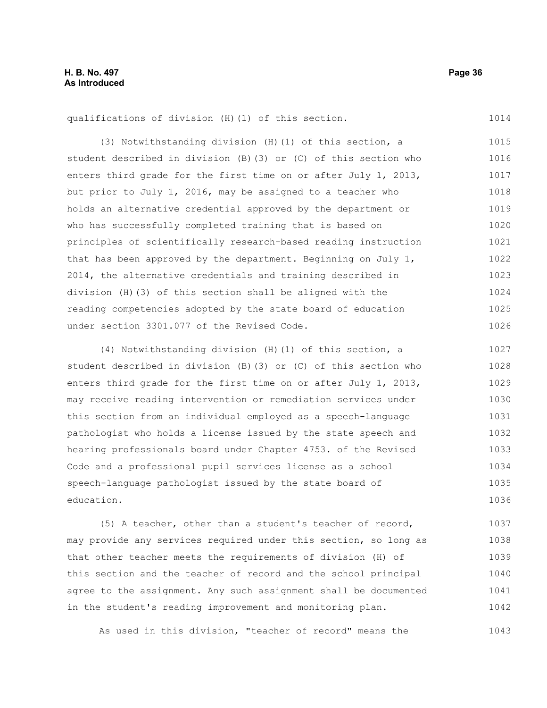qualifications of division (H)(1) of this section.

(3) Notwithstanding division (H)(1) of this section, a student described in division (B)(3) or (C) of this section who enters third grade for the first time on or after July 1, 2013, but prior to July 1, 2016, may be assigned to a teacher who holds an alternative credential approved by the department or who has successfully completed training that is based on principles of scientifically research-based reading instruction that has been approved by the department. Beginning on July 1, 2014, the alternative credentials and training described in division (H)(3) of this section shall be aligned with the reading competencies adopted by the state board of education under section 3301.077 of the Revised Code. 1015 1016 1017 1018 1019 1020 1021 1022 1023 1024 1025 1026

(4) Notwithstanding division (H)(1) of this section, a student described in division (B)(3) or (C) of this section who enters third grade for the first time on or after July 1, 2013, may receive reading intervention or remediation services under this section from an individual employed as a speech-language pathologist who holds a license issued by the state speech and hearing professionals board under Chapter 4753. of the Revised Code and a professional pupil services license as a school speech-language pathologist issued by the state board of education. 1027 1028 1029 1030 1031 1032 1033 1034 1035 1036

(5) A teacher, other than a student's teacher of record, may provide any services required under this section, so long as that other teacher meets the requirements of division (H) of this section and the teacher of record and the school principal agree to the assignment. Any such assignment shall be documented in the student's reading improvement and monitoring plan. 1037 1038 1039 1040 1041 1042

As used in this division, "teacher of record" means the 1043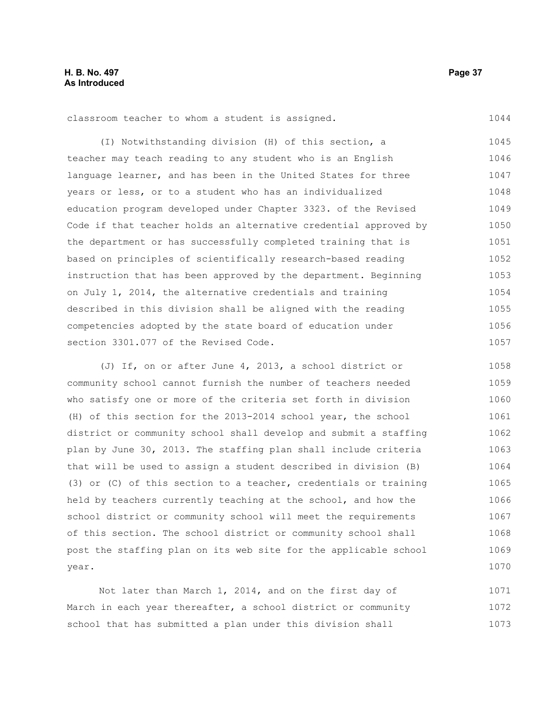classroom teacher to whom a student is assigned.

(I) Notwithstanding division (H) of this section, a teacher may teach reading to any student who is an English language learner, and has been in the United States for three years or less, or to a student who has an individualized education program developed under Chapter 3323. of the Revised Code if that teacher holds an alternative credential approved by the department or has successfully completed training that is based on principles of scientifically research-based reading instruction that has been approved by the department. Beginning on July 1, 2014, the alternative credentials and training described in this division shall be aligned with the reading competencies adopted by the state board of education under section 3301.077 of the Revised Code. 1045 1046 1047 1048 1049 1050 1051 1052 1053 1054 1055 1056 1057

(J) If, on or after June 4, 2013, a school district or community school cannot furnish the number of teachers needed who satisfy one or more of the criteria set forth in division (H) of this section for the 2013-2014 school year, the school district or community school shall develop and submit a staffing plan by June 30, 2013. The staffing plan shall include criteria that will be used to assign a student described in division (B) (3) or (C) of this section to a teacher, credentials or training held by teachers currently teaching at the school, and how the school district or community school will meet the requirements of this section. The school district or community school shall post the staffing plan on its web site for the applicable school year. 1058 1059 1060 1061 1062 1063 1064 1065 1066 1067 1068 1069 1070

Not later than March 1, 2014, and on the first day of March in each year thereafter, a school district or community school that has submitted a plan under this division shall 1071 1072 1073